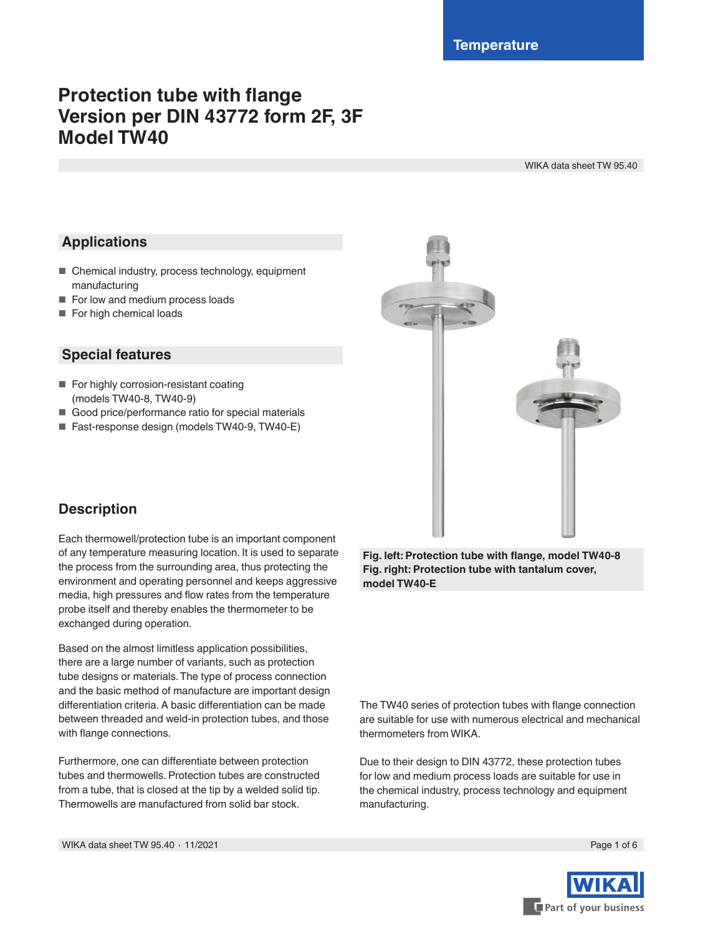# **Protection tube with flange Version per DIN 43772 form 2F, 3F Model TW40**

WIKA data sheet TW 95.40

## **Applications**

- Chemical industry, process technology, equipment manufacturing
- For low and medium process loads
- For high chemical loads

## **Special features**

- For highly corrosion-resistant coating (models TW40-8, TW40-9)
- Good price/performance ratio for special materials
- Fast-response design (models TW40-9, TW40-E)



## **Description**

Each thermowell/protection tube is an important component of any temperature measuring location. It is used to separate the process from the surrounding area, thus protecting the environment and operating personnel and keeps aggressive media, high pressures and flow rates from the temperature probe itself and thereby enables the thermometer to be exchanged during operation.

Based on the almost limitless application possibilities, there are a large number of variants, such as protection tube designs or materials. The type of process connection and the basic method of manufacture are important design differentiation criteria. A basic differentiation can be made between threaded and weld-in protection tubes, and those with flange connections.

Furthermore, one can differentiate between protection tubes and thermowells. Protection tubes are constructed from a tube, that is closed at the tip by a welded solid tip. Thermowells are manufactured from solid bar stock.

**Fig. left: Protection tube with flange, model TW40-8 Fig. right: Protection tube with tantalum cover, model TW40-E**

The TW40 series of protection tubes with flange connection are suitable for use with numerous electrical and mechanical thermometers from WIKA.

Due to their design to DIN 43772, these protection tubes for low and medium process loads are suitable for use in the chemical industry, process technology and equipment manufacturing.

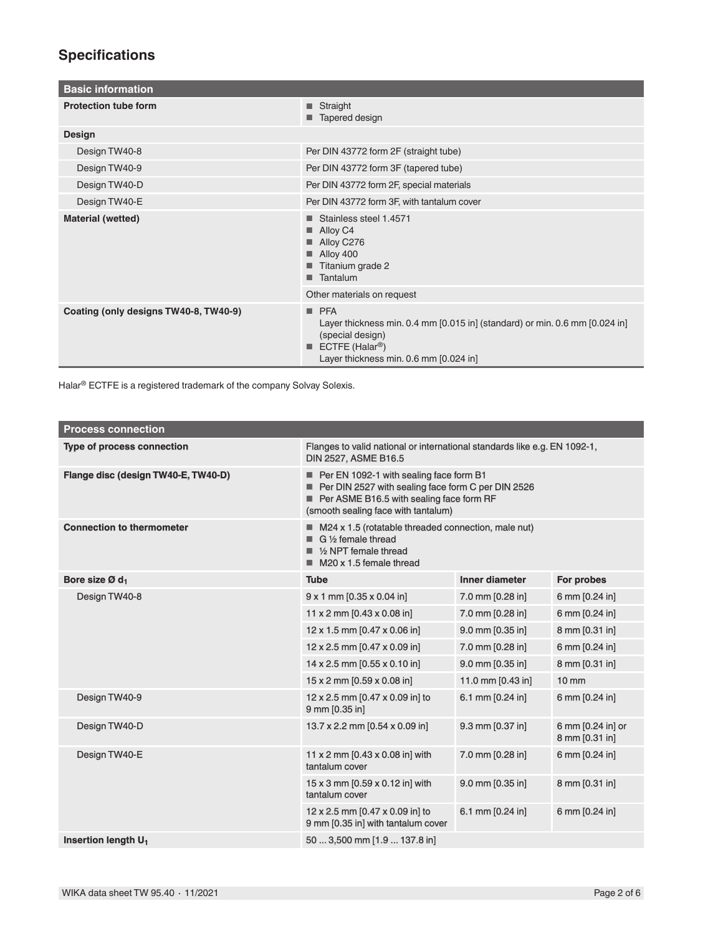## **Specifications**

| <b>Basic information</b>              |                                                                                                                                                                                 |  |
|---------------------------------------|---------------------------------------------------------------------------------------------------------------------------------------------------------------------------------|--|
| <b>Protection tube form</b>           | $\blacksquare$ Straight<br>Tapered design                                                                                                                                       |  |
| <b>Design</b>                         |                                                                                                                                                                                 |  |
| Design TW40-8                         | Per DIN 43772 form 2F (straight tube)                                                                                                                                           |  |
| Design TW40-9                         | Per DIN 43772 form 3F (tapered tube)                                                                                                                                            |  |
| Design TW40-D                         | Per DIN 43772 form 2F, special materials                                                                                                                                        |  |
| Design TW40-E                         | Per DIN 43772 form 3F, with tantalum cover                                                                                                                                      |  |
| Material (wetted)                     | Stainless steel 1.4571<br>Alloy C4<br>Alloy C276<br>Alloy 400<br>Titanium grade 2<br>Tantalum                                                                                   |  |
|                                       | Other materials on request                                                                                                                                                      |  |
| Coating (only designs TW40-8, TW40-9) | PFA<br>Layer thickness min. 0.4 mm [0.015 in] (standard) or min. 0.6 mm [0.024 in]<br>(special design)<br>ECTFE (Halar <sup>®</sup> )<br>Layer thickness min. 0.6 mm [0.024 in] |  |

Halar® ECTFE is a registered trademark of the company Solvay Solexis.

| <b>Process connection</b>           |                                                                                                                                                                                  |                       |                                     |
|-------------------------------------|----------------------------------------------------------------------------------------------------------------------------------------------------------------------------------|-----------------------|-------------------------------------|
| <b>Type of process connection</b>   | Flanges to valid national or international standards like e.g. EN 1092-1,<br><b>DIN 2527, ASME B16.5</b>                                                                         |                       |                                     |
| Flange disc (design TW40-E, TW40-D) | Per EN 1092-1 with sealing face form B1<br>Per DIN 2527 with sealing face form C per DIN 2526<br>Per ASME B16.5 with sealing face form RF<br>(smooth sealing face with tantalum) |                       |                                     |
| <b>Connection to thermometer</b>    | $\blacksquare$ M24 x 1.5 (rotatable threaded connection, male nut)<br>G 1/2 female thread<br>$\blacksquare$ 1/2 NPT female thread<br>$\blacksquare$ M20 x 1.5 female thread      |                       |                                     |
| Bore size Ø d <sub>1</sub>          | <b>Tube</b>                                                                                                                                                                      | <b>Inner diameter</b> | For probes                          |
| Design TW40-8                       | $9 \times 1$ mm [0.35 $\times$ 0.04 in]                                                                                                                                          | 7.0 mm [0.28 in]      | 6 mm [0.24 in]                      |
|                                     | 11 x 2 mm $[0.43 \times 0.08]$ in                                                                                                                                                | 7.0 mm [0.28 in]      | 6 mm [0.24 in]                      |
|                                     | 12 x 1.5 mm [0.47 x 0.06 in]                                                                                                                                                     | 9.0 mm [0.35 in]      | 8 mm [0.31 in]                      |
|                                     | 12 x 2.5 mm [0.47 x 0.09 in]                                                                                                                                                     | 7.0 mm [0.28 in]      | 6 mm [0.24 in]                      |
|                                     | 14 x 2.5 mm [0.55 x 0.10 in]                                                                                                                                                     | 9.0 mm [0.35 in]      | 8 mm [0.31 in]                      |
|                                     | $15 \times 2$ mm [0.59 $\times$ 0.08 in]                                                                                                                                         | 11.0 mm [0.43 in]     | $10 \, \text{mm}$                   |
| Design TW40-9                       | 12 x 2.5 mm [0.47 x 0.09 in] to<br>9 mm [0.35 in]                                                                                                                                | 6.1 mm [0.24 in]      | 6 mm [0.24 in]                      |
| Design TW40-D                       | 13.7 x 2.2 mm [0.54 x 0.09 in]                                                                                                                                                   | 9.3 mm [0.37 in]      | 6 mm [0.24 in] or<br>8 mm [0.31 in] |
| Design TW40-E                       | 11 x 2 mm $[0.43 \times 0.08]$ in with<br>tantalum cover                                                                                                                         | 7.0 mm [0.28 in]      | 6 mm [0.24 in]                      |
|                                     | $15 \times 3$ mm [0.59 $\times$ 0.12 in] with<br>tantalum cover                                                                                                                  | 9.0 mm [0.35 in]      | 8 mm [0.31 in]                      |
|                                     | 12 x 2.5 mm [0.47 x 0.09 in] to<br>9 mm [0.35 in] with tantalum cover                                                                                                            | 6.1 mm [0.24 in]      | 6 mm [0.24 in]                      |
| Insertion length U <sub>1</sub>     | 50  3,500 mm [1.9  137.8 in]                                                                                                                                                     |                       |                                     |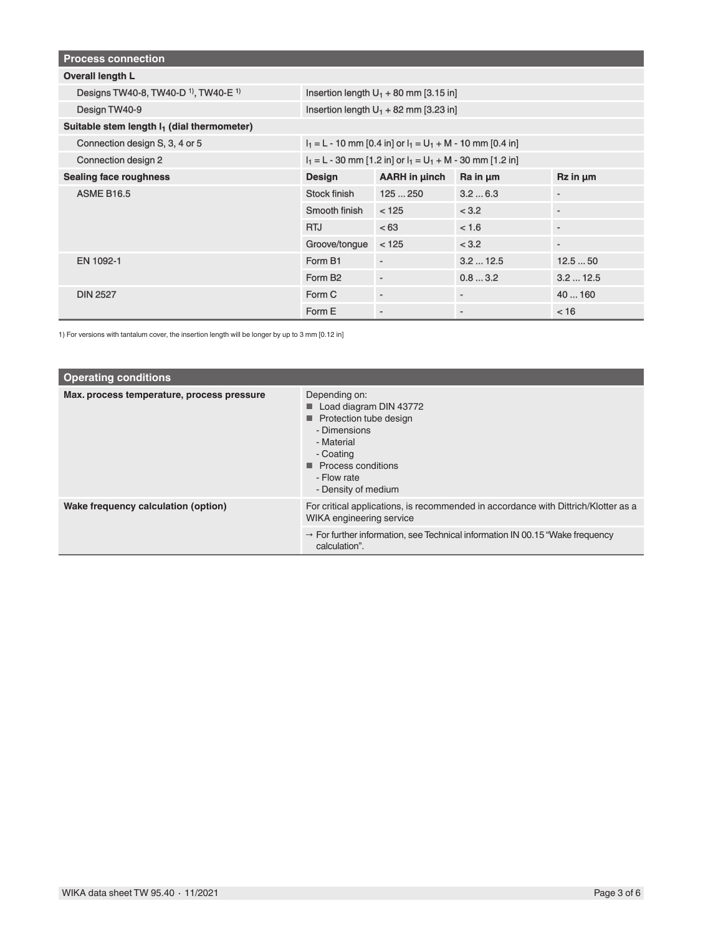| <b>Process connection</b>                                 |                                                                |                      |                          |                          |
|-----------------------------------------------------------|----------------------------------------------------------------|----------------------|--------------------------|--------------------------|
| <b>Overall length L</b>                                   |                                                                |                      |                          |                          |
| Designs TW40-8, TW40-D <sup>1</sup> , TW40-E <sup>1</sup> | Insertion length $U_1$ + 80 mm [3.15 in]                       |                      |                          |                          |
| Design TW40-9                                             | Insertion length $U_1$ + 82 mm [3.23 in]                       |                      |                          |                          |
| Suitable stem length I <sub>1</sub> (dial thermometer)    |                                                                |                      |                          |                          |
| Connection design S, 3, 4 or 5                            | $I_1 = L - 10$ mm [0.4 in] or $I_1 = U_1 + M - 10$ mm [0.4 in] |                      |                          |                          |
| <b>Connection design 2</b>                                | $I_1 = L - 30$ mm [1.2 in] or $I_1 = U_1 + M - 30$ mm [1.2 in] |                      |                          |                          |
| <b>Sealing face roughness</b>                             | <b>Design</b>                                                  | <b>AARH in µinch</b> | Ra in µm                 | Rz in um                 |
| <b>ASME B16.5</b>                                         | Stock finish                                                   | 125250               | 3.26.3                   | $\overline{\phantom{a}}$ |
|                                                           | Smooth finish                                                  | < 125                | < 3.2                    | $\overline{a}$           |
|                                                           | <b>RTJ</b>                                                     | < 63                 | < 1.6                    | ٠                        |
|                                                           | Groove/tongue                                                  | < 125                | < 3.2                    | $\blacksquare$           |
| EN 1092-1                                                 | Form B1                                                        | $\blacksquare$       | 3.212.5                  | 12.550                   |
|                                                           | Form B <sub>2</sub>                                            | $\blacksquare$       | 0.83.2                   | 3.212.5                  |
| <b>DIN 2527</b>                                           | Form C                                                         | $\blacksquare$       | $\overline{\phantom{a}}$ | 40  160                  |
|                                                           | Form E                                                         | $\blacksquare$       | ٠                        | < 16                     |

1) For versions with tantalum cover, the insertion length will be longer by up to 3 mm [0.12 in]

| <b>Operating conditions</b>                |                                                                                                                                                                                         |  |
|--------------------------------------------|-----------------------------------------------------------------------------------------------------------------------------------------------------------------------------------------|--|
| Max. process temperature, process pressure | Depending on:<br>Load diagram DIN 43772<br>Protection tube design<br>- Dimensions<br>- Material<br>- Coating<br>$\blacksquare$ Process conditions<br>- Flow rate<br>- Density of medium |  |
| Wake frequency calculation (option)        | For critical applications, is recommended in accordance with Dittrich/Klotter as a<br>WIKA engineering service                                                                          |  |
|                                            | $\rightarrow$ For further information, see Technical information IN 00.15 "Wake frequency<br>calculation".                                                                              |  |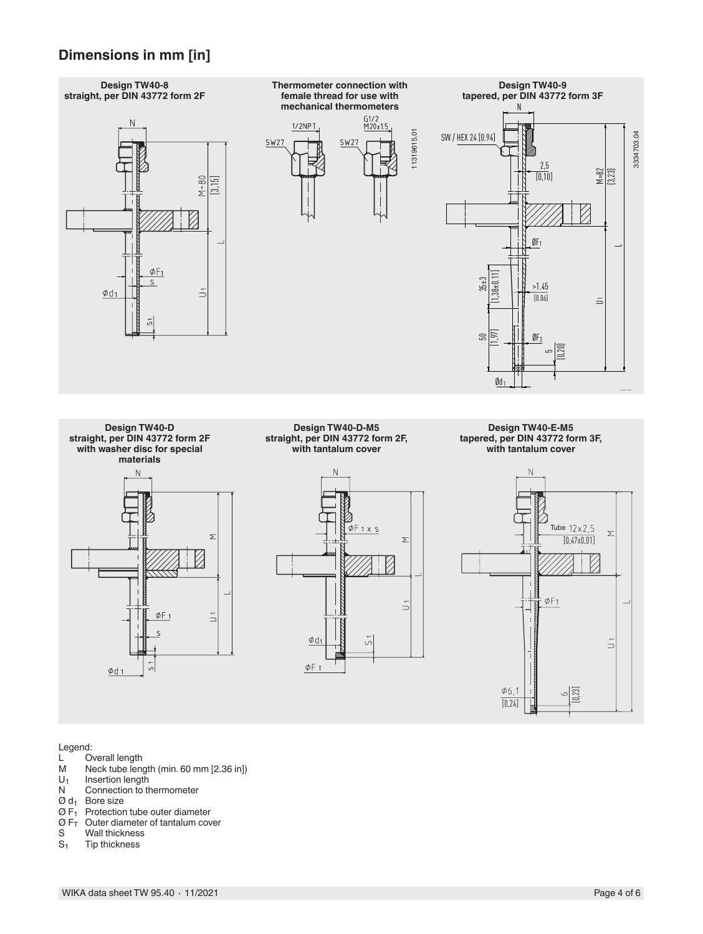## **Dimensions in mm [in]**



Legend:<br>L O

- L Overall length<br>M Neck tube length
- M Neck tube length (min. 60 mm [2.36 in])<br> $U_1$  Insertion length
- $U_1$  Insertion length<br>N Connection to the
- Connection to thermometer
- $\varnothing$  d<sub>1</sub> Bore size
- $\varnothing$  F<sub>1</sub> Protection tube outer diameter
- $\sigma$  F<sub>T</sub> Outer diameter of tantalum cover<br>S Wall thickness
- S Wall thickness<br>S<sub>1</sub> Tip thickness
- Tip thickness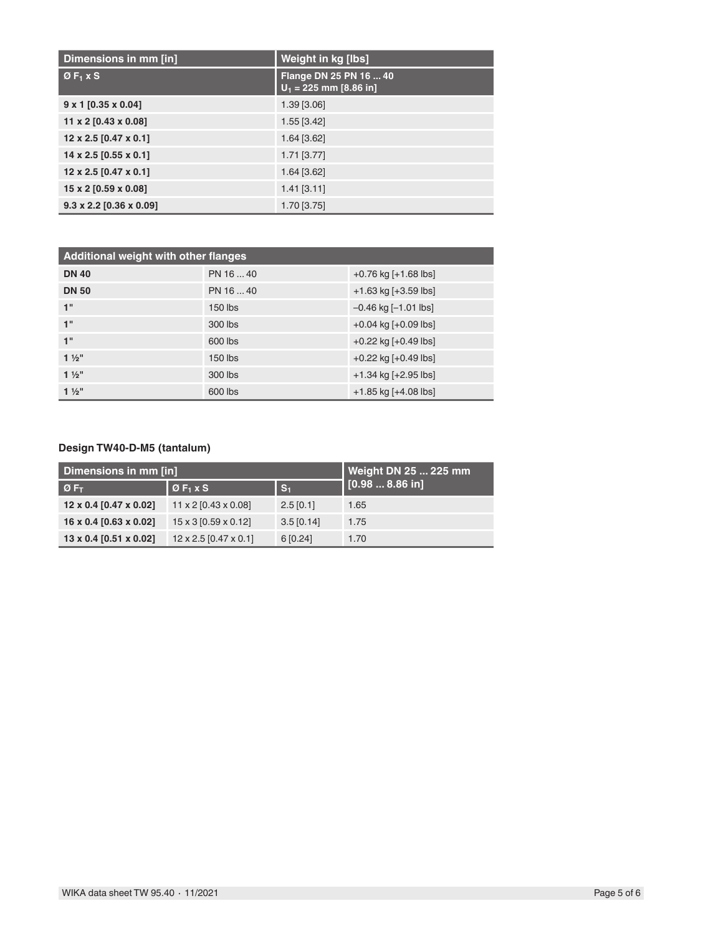| Dimensions in mm [in]                 | Weight in kg [lbs]                                 |
|---------------------------------------|----------------------------------------------------|
| ØF <sub>1</sub> X S                   | Flange DN 25 PN 16  40<br>$U_1 = 225$ mm [8.86 in] |
| $9 \times 1$ [0.35 x 0.04]            | 1.39 [3.06]                                        |
| 11 x 2 [0.43 x 0.08]                  | $1.55$ [3.42]                                      |
| $12 \times 2.5$ [0.47 $\times$ 0.1]   | 1.64 [3.62]                                        |
| 14 x 2.5 [0.55 x 0.1]                 | 1.71 [3.77]                                        |
| $12 \times 2.5$ [0.47 $\times$ 0.1]   | 1.64 [3.62]                                        |
| 15 x 2 [0.59 x 0.08]                  | $1.41$ [3.11]                                      |
| $9.3 \times 2.2$ [0.36 $\times$ 0.09] | 1.70 [3.75]                                        |

| <b>Additional weight with other flanges</b> |           |                           |  |
|---------------------------------------------|-----------|---------------------------|--|
| <b>DN 40</b>                                | PN 16  40 | $+0.76$ kg $[+1.68$ lbs]  |  |
| <b>DN 50</b>                                | PN 16  40 | $+1.63$ kg [ $+3.59$ lbs] |  |
| 1"                                          | $150$ lbs | $-0.46$ kg $[-1.01$ lbs]  |  |
| 1"                                          | 300 lbs   | $+0.04$ kg $[+0.09$ lbs]  |  |
| 1"                                          | 600 lbs   | $+0.22$ kg $[+0.49$ lbs]  |  |
| $1\frac{1}{2}$ "                            | $150$ lbs | $+0.22$ kg $[+0.49$ lbs]  |  |
| $1\frac{1}{2}$                              | 300 lbs   | $+1.34$ kg [ $+2.95$ lbs] |  |
| $1\frac{1}{2}$ "                            | 600 lbs   | +1.85 kg [+4.08 lbs]      |  |

### **Design TW40-D-M5 (tantalum)**

| Dimensions in mm [in]         |                                     |                | Weight DN 25  225 mm |
|-------------------------------|-------------------------------------|----------------|----------------------|
| $\circ$ F <sub>T</sub>        | $ØF1 \times S$                      | $\mathbf{S}_1$ | 1 [0.98  8.86 in]    |
| 12 x 0.4 [0.47 x 0.02]        | $11 \times 2$ [0.43 $\times$ 0.08]  | $2.5$ [0.1]    | 1.65                 |
| 16 x 0.4 [0.63 x 0.02]        | $15 \times 3$ [0.59 $\times$ 0.12]  | $3.5$ [0.14]   | 1.75                 |
| $13 \times 0.4$ [0.51 x 0.02] | $12 \times 2.5$ [0.47 $\times$ 0.1] | 6[0.24]        | 1.70                 |